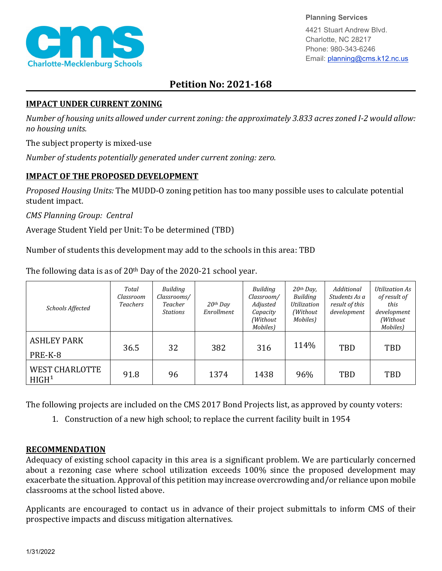

**Planning Services**

4421 Stuart Andrew Blvd. Charlotte, NC 28217 Phone: 980-343-6246 Email: planning@cms.k12.nc.us

## **Petition No: 2021-168**

## **IMPACT UNDER CURRENT ZONING**

*Number of housing units allowed under current zoning: the approximately 3.833 acres zoned I-2 would allow: no housing units.*

The subject property is mixed-use

*Number of students potentially generated under current zoning: zero.*

## **IMPACT OF THE PROPOSED DEVELOPMENT**

*Proposed Housing Units:* The MUDD-O zoning petition has too many possible uses to calculate potential student impact.

*CMS Planning Group: Central*

Average Student Yield per Unit: To be determined (TBD)

Number of students this development may add to the schools in this area: TBD

| Schools Affected                              | Total<br>Classroom<br><b>Teachers</b> | Building<br>Classrooms/<br>Teacher<br><b>Stations</b> | $20$ <sup>th</sup> Day<br>Enrollment | Building<br>Classroom/<br>Adjusted<br>Capacity<br>(Without<br>Mobiles) | 20th Day,<br>Building<br>Utilization<br>(Without<br>Mobiles) | Additional<br>Students As a<br>result of this<br>development | Utilization As<br>of result of<br>this<br>development<br>(Without<br>Mobiles) |
|-----------------------------------------------|---------------------------------------|-------------------------------------------------------|--------------------------------------|------------------------------------------------------------------------|--------------------------------------------------------------|--------------------------------------------------------------|-------------------------------------------------------------------------------|
| <b>ASHLEY PARK</b><br>PRE-K-8                 | 36.5                                  | 32                                                    | 382                                  | 316                                                                    | 114%                                                         | TBD                                                          | <b>TBD</b>                                                                    |
| <b>WEST CHARLOTTE</b><br>H I G H <sup>1</sup> | 91.8                                  | 96                                                    | 1374                                 | 1438                                                                   | 96%                                                          | TBD                                                          | TBD                                                                           |

The following data is as of  $20<sup>th</sup>$  Day of the 2020-21 school year.

The following projects are included on the CMS 2017 Bond Projects list, as approved by county voters:

1. Construction of a new high school; to replace the current facility built in 1954

## **RECOMMENDATION**

Adequacy of existing school capacity in this area is a significant problem. We are particularly concerned about a rezoning case where school utilization exceeds 100% since the proposed development may exacerbate the situation. Approval of this petition may increase overcrowding and/or reliance upon mobile classrooms at the school listed above.

Applicants are encouraged to contact us in advance of their project submittals to inform CMS of their prospective impacts and discuss mitigation alternatives.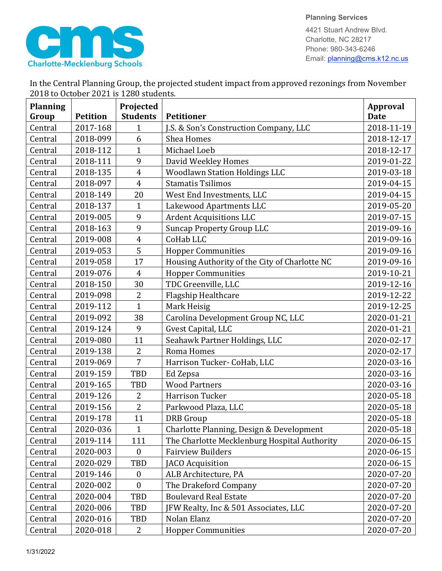

**Planning Services** 4421 Stuart Andrew Blvd. Charlotte, NC 28217

Phone: 980-343-6246 Email: planning@cms.k12.nc.us

|                                        | In the Central Planning Group, the projected student impact from approved rezonings from November |  |
|----------------------------------------|---------------------------------------------------------------------------------------------------|--|
| 2018 to October 2021 is 1280 students. |                                                                                                   |  |
|                                        |                                                                                                   |  |

| <b>Planning</b> |                 | Projected        |                                               | <b>Approval</b> |
|-----------------|-----------------|------------------|-----------------------------------------------|-----------------|
| Group           | <b>Petition</b> | <b>Students</b>  | <b>Petitioner</b>                             | <b>Date</b>     |
| Central         | 2017-168        | $\mathbf{1}$     | J.S. & Son's Construction Company, LLC        | 2018-11-19      |
| Central         | 2018-099        | 6                | <b>Shea Homes</b>                             | 2018-12-17      |
| Central         | 2018-112        | $\mathbf{1}$     | Michael Loeb                                  | 2018-12-17      |
| Central         | 2018-111        | 9                | David Weekley Homes                           | 2019-01-22      |
| Central         | 2018-135        | $\overline{4}$   | <b>Woodlawn Station Holdings LLC</b>          | 2019-03-18      |
| Central         | 2018-097        | $\overline{4}$   | <b>Stamatis Tsilimos</b>                      | 2019-04-15      |
| Central         | 2018-149        | 20               | West End Investments, LLC                     | 2019-04-15      |
| Central         | 2018-137        | $\mathbf{1}$     | Lakewood Apartments LLC                       | 2019-05-20      |
| Central         | 2019-005        | 9                | <b>Ardent Acquisitions LLC</b>                | 2019-07-15      |
| Central         | 2018-163        | 9                | <b>Suncap Property Group LLC</b>              | 2019-09-16      |
| Central         | 2019-008        | $\overline{4}$   | CoHab LLC                                     | 2019-09-16      |
| Central         | 2019-053        | 5                | <b>Hopper Communities</b>                     | 2019-09-16      |
| Central         | 2019-058        | 17               | Housing Authority of the City of Charlotte NC | 2019-09-16      |
| Central         | 2019-076        | $\overline{4}$   | <b>Hopper Communities</b>                     | 2019-10-21      |
| Central         | 2018-150        | 30               | TDC Greenville, LLC                           | 2019-12-16      |
| Central         | 2019-098        | $\overline{2}$   | Flagship Healthcare                           | 2019-12-22      |
| Central         | 2019-112        | $\mathbf{1}$     | Mark Heisig                                   | 2019-12-25      |
| Central         | 2019-092        | 38               | Carolina Development Group NC, LLC            | 2020-01-21      |
| Central         | 2019-124        | 9                | Gvest Capital, LLC                            | 2020-01-21      |
| Central         | 2019-080        | 11               | Seahawk Partner Holdings, LLC                 | 2020-02-17      |
| Central         | 2019-138        | $\overline{2}$   | Roma Homes                                    | 2020-02-17      |
| Central         | 2019-069        | 7                | Harrison Tucker- CoHab, LLC                   | 2020-03-16      |
| Central         | 2019-159        | TBD              | Ed Zepsa                                      | 2020-03-16      |
| Central         | 2019-165        | TBD              | <b>Wood Partners</b>                          | 2020-03-16      |
| Central         | 2019-126        | $\overline{2}$   | <b>Harrison Tucker</b>                        | 2020-05-18      |
| Central         | 2019-156        | $\overline{2}$   | Parkwood Plaza, LLC                           | 2020-05-18      |
| Central         | 2019-178        | 11               | <b>DRB</b> Group                              | 2020-05-18      |
| Central         | 2020-036        | $\mathbf{1}$     | Charlotte Planning, Design & Development      | 2020-05-18      |
| Central         | 2019-114        | 111              | The Charlotte Mecklenburg Hospital Authority  | 2020-06-15      |
| Central         | 2020-003        | $\boldsymbol{0}$ | <b>Fairview Builders</b>                      | 2020-06-15      |
| Central         | 2020-029        | TBD              | JACO Acquisition                              | 2020-06-15      |
| Central         | 2019-146        | $\boldsymbol{0}$ | ALB Architecture, PA                          | 2020-07-20      |
| Central         | 2020-002        | $\boldsymbol{0}$ | The Drakeford Company                         | 2020-07-20      |
| Central         | 2020-004        | TBD              | <b>Boulevard Real Estate</b>                  | 2020-07-20      |
| Central         | 2020-006        | TBD              | JFW Realty, Inc & 501 Associates, LLC         | 2020-07-20      |
| Central         | 2020-016        | TBD              | Nolan Elanz                                   | 2020-07-20      |
| Central         | 2020-018        | $\overline{c}$   | <b>Hopper Communities</b>                     | 2020-07-20      |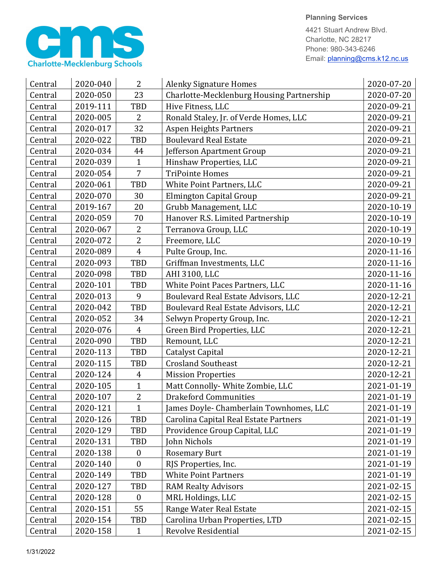

**Planning Services**

4421 Stuart Andrew Blvd. Charlotte, NC 28217 Phone: 980-343-6246 Email: planning@cms.k12.nc.us

| Central | 2020-040 | $\overline{2}$   | <b>Alenky Signature Homes</b>             | 2020-07-20 |
|---------|----------|------------------|-------------------------------------------|------------|
| Central | 2020-050 | 23               | Charlotte-Mecklenburg Housing Partnership | 2020-07-20 |
| Central | 2019-111 | TBD              | Hive Fitness, LLC                         | 2020-09-21 |
| Central | 2020-005 | 2                | Ronald Staley, Jr. of Verde Homes, LLC    | 2020-09-21 |
| Central | 2020-017 | 32               | <b>Aspen Heights Partners</b>             | 2020-09-21 |
| Central | 2020-022 | TBD              | <b>Boulevard Real Estate</b>              | 2020-09-21 |
| Central | 2020-034 | 44               | Jefferson Apartment Group                 | 2020-09-21 |
| Central | 2020-039 | $\mathbf{1}$     | Hinshaw Properties, LLC                   | 2020-09-21 |
| Central | 2020-054 | 7                | <b>TriPointe Homes</b>                    | 2020-09-21 |
| Central | 2020-061 | <b>TBD</b>       | White Point Partners, LLC                 | 2020-09-21 |
| Central | 2020-070 | 30               | Elmington Capital Group                   | 2020-09-21 |
| Central | 2019-167 | 20               | Grubb Management, LLC                     | 2020-10-19 |
| Central | 2020-059 | 70               | Hanover R.S. Limited Partnership          | 2020-10-19 |
| Central | 2020-067 | 2                | Terranova Group, LLC                      | 2020-10-19 |
| Central | 2020-072 | $\overline{2}$   | Freemore, LLC                             | 2020-10-19 |
| Central | 2020-089 | $\overline{4}$   | Pulte Group, Inc.                         | 2020-11-16 |
| Central | 2020-093 | TBD              | Griffman Investments, LLC                 | 2020-11-16 |
| Central | 2020-098 | TBD              | AHI 3100, LLC                             | 2020-11-16 |
| Central | 2020-101 | TBD              | White Point Paces Partners, LLC           | 2020-11-16 |
| Central | 2020-013 | 9                | Boulevard Real Estate Advisors, LLC       | 2020-12-21 |
| Central | 2020-042 | TBD              | Boulevard Real Estate Advisors, LLC       | 2020-12-21 |
| Central | 2020-052 | 34               | Selwyn Property Group, Inc.               | 2020-12-21 |
| Central | 2020-076 | $\overline{4}$   | Green Bird Properties, LLC                | 2020-12-21 |
| Central | 2020-090 | TBD              | Remount, LLC                              | 2020-12-21 |
| Central | 2020-113 | TBD              | Catalyst Capital                          | 2020-12-21 |
| Central | 2020-115 | <b>TBD</b>       | <b>Crosland Southeast</b>                 | 2020-12-21 |
| Central | 2020-124 | $\overline{4}$   | <b>Mission Properties</b>                 | 2020-12-21 |
| Central | 2020-105 | $\mathbf{1}$     | Matt Connolly- White Zombie, LLC          | 2021-01-19 |
| Central | 2020-107 | $\overline{2}$   | <b>Drakeford Communities</b>              | 2021-01-19 |
| Central | 2020-121 | $\mathbf{1}$     | James Doyle- Chamberlain Townhomes, LLC   | 2021-01-19 |
| Central | 2020-126 | TBD              | Carolina Capital Real Estate Partners     | 2021-01-19 |
| Central | 2020-129 | <b>TBD</b>       | Providence Group Capital, LLC             | 2021-01-19 |
| Central | 2020-131 | TBD              | John Nichols                              | 2021-01-19 |
| Central | 2020-138 | $\boldsymbol{0}$ | <b>Rosemary Burt</b>                      | 2021-01-19 |
| Central | 2020-140 | $\boldsymbol{0}$ | RJS Properties, Inc.                      | 2021-01-19 |
| Central | 2020-149 | TBD              | <b>White Point Partners</b>               | 2021-01-19 |
| Central | 2020-127 | TBD              | <b>RAM Realty Advisors</b>                | 2021-02-15 |
| Central | 2020-128 | $\boldsymbol{0}$ | MRL Holdings, LLC                         | 2021-02-15 |
| Central | 2020-151 | 55               | Range Water Real Estate                   | 2021-02-15 |
| Central | 2020-154 | TBD              | Carolina Urban Properties, LTD            | 2021-02-15 |
| Central | 2020-158 | $\mathbf{1}$     | Revolve Residential                       | 2021-02-15 |